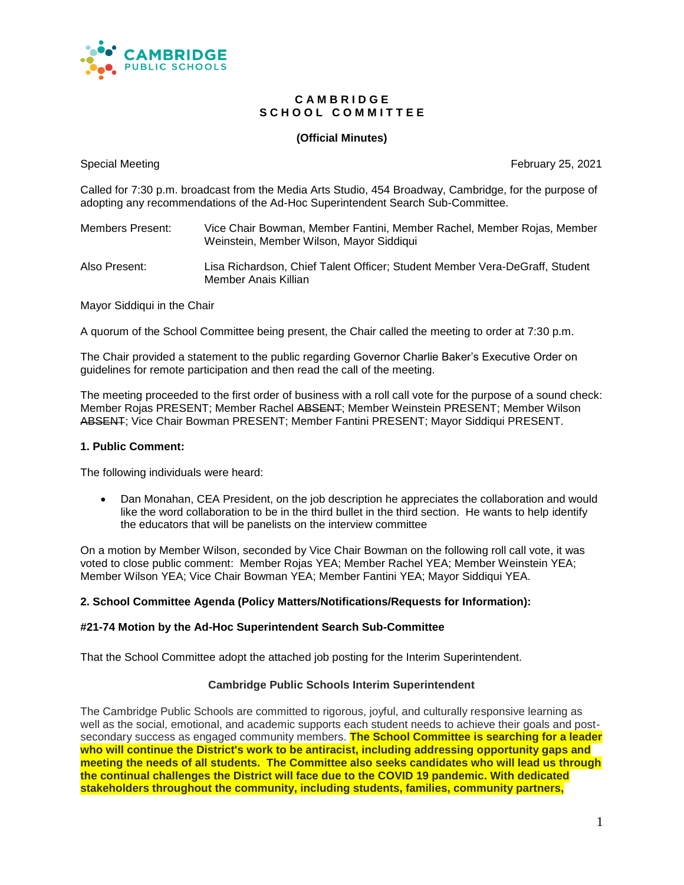

#### **C A M B R I D G E** S C H O O L C O M M I T T E E

#### **(Official Minutes)**

Special Meeting **February 25, 2021 February 25, 2021** 

Called for 7:30 p.m. broadcast from the Media Arts Studio, 454 Broadway, Cambridge, for the purpose of adopting any recommendations of the Ad-Hoc Superintendent Search Sub-Committee.

| Members Present: | Vice Chair Bowman, Member Fantini, Member Rachel, Member Rojas, Member |
|------------------|------------------------------------------------------------------------|
|                  | Weinstein, Member Wilson, Mayor Siddiqui                               |

Also Present: Lisa Richardson, Chief Talent Officer; Student Member Vera-DeGraff, Student Member Anais Killian

Mayor Siddiqui in the Chair

A quorum of the School Committee being present, the Chair called the meeting to order at 7:30 p.m.

The Chair provided a statement to the public regarding Governor Charlie Baker's Executive Order on guidelines for remote participation and then read the call of the meeting.

The meeting proceeded to the first order of business with a roll call vote for the purpose of a sound check: Member Rojas PRESENT; Member Rachel ABSENT; Member Weinstein PRESENT; Member Wilson ABSENT; Vice Chair Bowman PRESENT; Member Fantini PRESENT; Mayor Siddiqui PRESENT.

#### **1. Public Comment:**

The following individuals were heard:

 Dan Monahan, CEA President, on the job description he appreciates the collaboration and would like the word collaboration to be in the third bullet in the third section. He wants to help identify the educators that will be panelists on the interview committee

On a motion by Member Wilson, seconded by Vice Chair Bowman on the following roll call vote, it was voted to close public comment: Member Rojas YEA; Member Rachel YEA; Member Weinstein YEA; Member Wilson YEA; Vice Chair Bowman YEA; Member Fantini YEA; Mayor Siddiqui YEA.

#### **2. School Committee Agenda (Policy Matters/Notifications/Requests for Information):**

#### **#21-74 Motion by the Ad-Hoc Superintendent Search Sub-Committee**

That the School Committee adopt the attached job posting for the Interim Superintendent.

#### **Cambridge Public Schools Interim Superintendent**

The Cambridge Public Schools are committed to rigorous, joyful, and culturally responsive learning as well as the social, emotional, and academic supports each student needs to achieve their goals and postsecondary success as engaged community members. **The School Committee is searching for a leader who will continue the District's work to be antiracist, including addressing opportunity gaps and meeting the needs of all students. The Committee also seeks candidates who will lead us through the continual challenges the District will face due to the COVID 19 pandemic. With dedicated stakeholders throughout the community, including students, families, community partners,**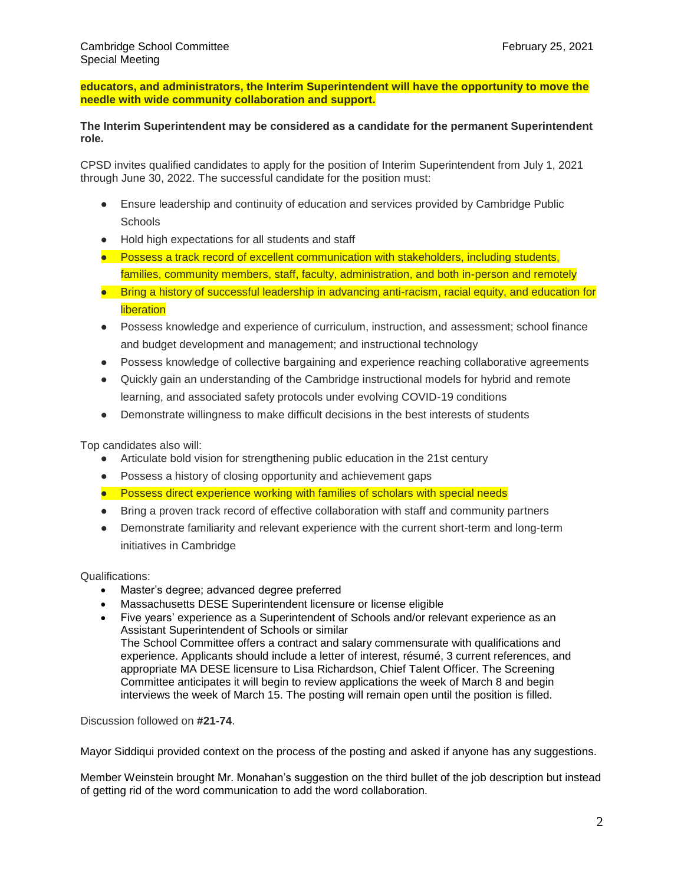**educators, and administrators, the Interim Superintendent will have the opportunity to move the needle with wide community collaboration and support.**

#### **The Interim Superintendent may be considered as a candidate for the permanent Superintendent role.**

CPSD invites qualified candidates to apply for the position of Interim Superintendent from July 1, 2021 through June 30, 2022. The successful candidate for the position must:

- Ensure leadership and continuity of education and services provided by Cambridge Public **Schools**
- Hold high expectations for all students and staff
- Possess a track record of excellent communication with stakeholders, including students, families, community members, staff, faculty, administration, and both in-person and remotely
- Bring a history of successful leadership in advancing anti-racism, racial equity, and education for **liberation**
- Possess knowledge and experience of curriculum, instruction, and assessment; school finance and budget development and management; and instructional technology
- Possess knowledge of collective bargaining and experience reaching collaborative agreements
- Quickly gain an understanding of the Cambridge instructional models for hybrid and remote learning, and associated safety protocols under evolving COVID-19 conditions
- Demonstrate willingness to make difficult decisions in the best interests of students

Top candidates also will:

- Articulate bold vision for strengthening public education in the 21st century
- Possess a history of closing opportunity and achievement gaps
- Possess direct experience working with families of scholars with special needs
- Bring a proven track record of effective collaboration with staff and community partners
- Demonstrate familiarity and relevant experience with the current short-term and long-term initiatives in Cambridge

Qualifications:

- Master's degree; advanced degree preferred
- Massachusetts DESE Superintendent licensure or license eligible
- Five years' experience as a Superintendent of Schools and/or relevant experience as an Assistant Superintendent of Schools or similar The School Committee offers a contract and salary commensurate with qualifications and experience. Applicants should include a letter of interest, résumé, 3 current references, and appropriate MA DESE licensure to Lisa Richardson, Chief Talent Officer. The Screening Committee anticipates it will begin to review applications the week of March 8 and begin interviews the week of March 15. The posting will remain open until the position is filled.

Discussion followed on **#21-74**.

Mayor Siddiqui provided context on the process of the posting and asked if anyone has any suggestions.

Member Weinstein brought Mr. Monahan's suggestion on the third bullet of the job description but instead of getting rid of the word communication to add the word collaboration.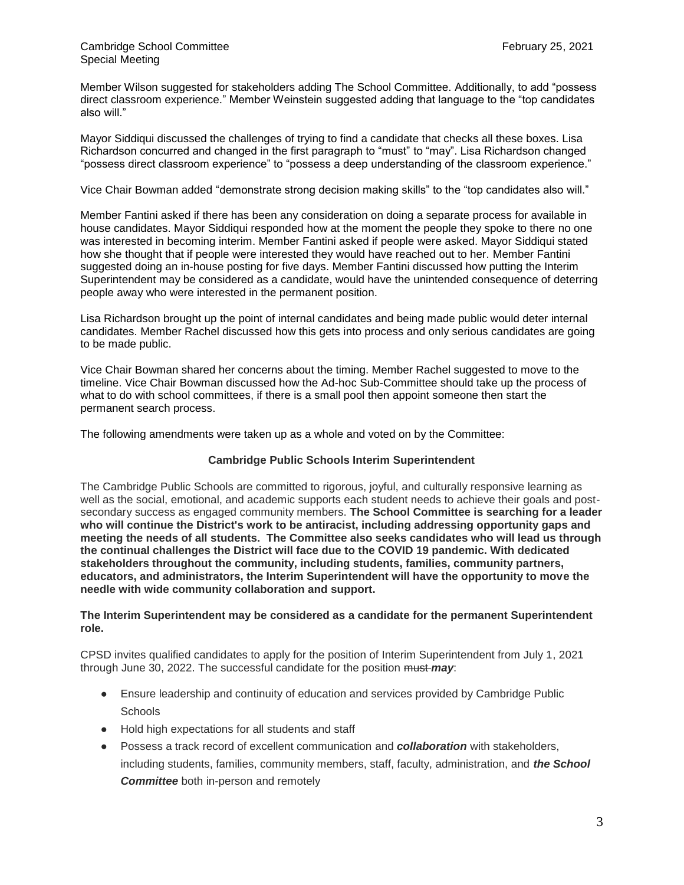Member Wilson suggested for stakeholders adding The School Committee. Additionally, to add "possess direct classroom experience." Member Weinstein suggested adding that language to the "top candidates also will."

Mayor Siddiqui discussed the challenges of trying to find a candidate that checks all these boxes. Lisa Richardson concurred and changed in the first paragraph to "must" to "may". Lisa Richardson changed "possess direct classroom experience" to "possess a deep understanding of the classroom experience."

Vice Chair Bowman added "demonstrate strong decision making skills" to the "top candidates also will."

Member Fantini asked if there has been any consideration on doing a separate process for available in house candidates. Mayor Siddiqui responded how at the moment the people they spoke to there no one was interested in becoming interim. Member Fantini asked if people were asked. Mayor Siddiqui stated how she thought that if people were interested they would have reached out to her. Member Fantini suggested doing an in-house posting for five days. Member Fantini discussed how putting the Interim Superintendent may be considered as a candidate, would have the unintended consequence of deterring people away who were interested in the permanent position.

Lisa Richardson brought up the point of internal candidates and being made public would deter internal candidates. Member Rachel discussed how this gets into process and only serious candidates are going to be made public.

Vice Chair Bowman shared her concerns about the timing. Member Rachel suggested to move to the timeline. Vice Chair Bowman discussed how the Ad-hoc Sub-Committee should take up the process of what to do with school committees, if there is a small pool then appoint someone then start the permanent search process.

The following amendments were taken up as a whole and voted on by the Committee:

#### **Cambridge Public Schools Interim Superintendent**

The Cambridge Public Schools are committed to rigorous, joyful, and culturally responsive learning as well as the social, emotional, and academic supports each student needs to achieve their goals and postsecondary success as engaged community members. **The School Committee is searching for a leader who will continue the District's work to be antiracist, including addressing opportunity gaps and meeting the needs of all students. The Committee also seeks candidates who will lead us through the continual challenges the District will face due to the COVID 19 pandemic. With dedicated stakeholders throughout the community, including students, families, community partners, educators, and administrators, the Interim Superintendent will have the opportunity to move the needle with wide community collaboration and support.**

**The Interim Superintendent may be considered as a candidate for the permanent Superintendent role.**

CPSD invites qualified candidates to apply for the position of Interim Superintendent from July 1, 2021 through June 30, 2022. The successful candidate for the position must *may*:

- Ensure leadership and continuity of education and services provided by Cambridge Public **Schools**
- Hold high expectations for all students and staff
- Possess a track record of excellent communication and *collaboration* with stakeholders, including students, families, community members, staff, faculty, administration, and *the School Committee* both in-person and remotely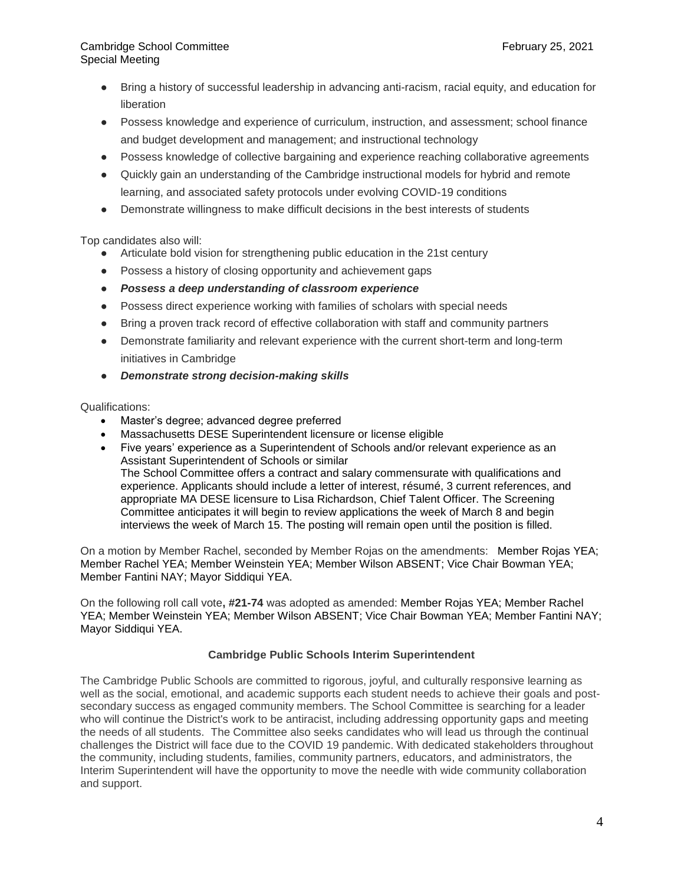- Bring a history of successful leadership in advancing anti-racism, racial equity, and education for liberation
- Possess knowledge and experience of curriculum, instruction, and assessment; school finance and budget development and management; and instructional technology
- Possess knowledge of collective bargaining and experience reaching collaborative agreements
- Quickly gain an understanding of the Cambridge instructional models for hybrid and remote learning, and associated safety protocols under evolving COVID-19 conditions
- Demonstrate willingness to make difficult decisions in the best interests of students

Top candidates also will:

- Articulate bold vision for strengthening public education in the 21st century
- Possess a history of closing opportunity and achievement gaps
- *Possess a deep understanding of classroom experience*
- Possess direct experience working with families of scholars with special needs
- Bring a proven track record of effective collaboration with staff and community partners
- Demonstrate familiarity and relevant experience with the current short-term and long-term initiatives in Cambridge
- *Demonstrate strong decision-making skills*

Qualifications:

- Master's degree; advanced degree preferred
- Massachusetts DESE Superintendent licensure or license eligible
- Five years' experience as a Superintendent of Schools and/or relevant experience as an Assistant Superintendent of Schools or similar The School Committee offers a contract and salary commensurate with qualifications and experience. Applicants should include a letter of interest, résumé, 3 current references, and appropriate MA DESE licensure to Lisa Richardson, Chief Talent Officer. The Screening Committee anticipates it will begin to review applications the week of March 8 and begin interviews the week of March 15. The posting will remain open until the position is filled.

On a motion by Member Rachel, seconded by Member Rojas on the amendments: Member Rojas YEA; Member Rachel YEA; Member Weinstein YEA; Member Wilson ABSENT; Vice Chair Bowman YEA; Member Fantini NAY; Mayor Siddiqui YEA.

On the following roll call vote**, #21-74** was adopted as amended: Member Rojas YEA; Member Rachel YEA; Member Weinstein YEA; Member Wilson ABSENT; Vice Chair Bowman YEA; Member Fantini NAY; Mayor Siddiqui YEA.

#### **Cambridge Public Schools Interim Superintendent**

The Cambridge Public Schools are committed to rigorous, joyful, and culturally responsive learning as well as the social, emotional, and academic supports each student needs to achieve their goals and postsecondary success as engaged community members. The School Committee is searching for a leader who will continue the District's work to be antiracist, including addressing opportunity gaps and meeting the needs of all students. The Committee also seeks candidates who will lead us through the continual challenges the District will face due to the COVID 19 pandemic. With dedicated stakeholders throughout the community, including students, families, community partners, educators, and administrators, the Interim Superintendent will have the opportunity to move the needle with wide community collaboration and support.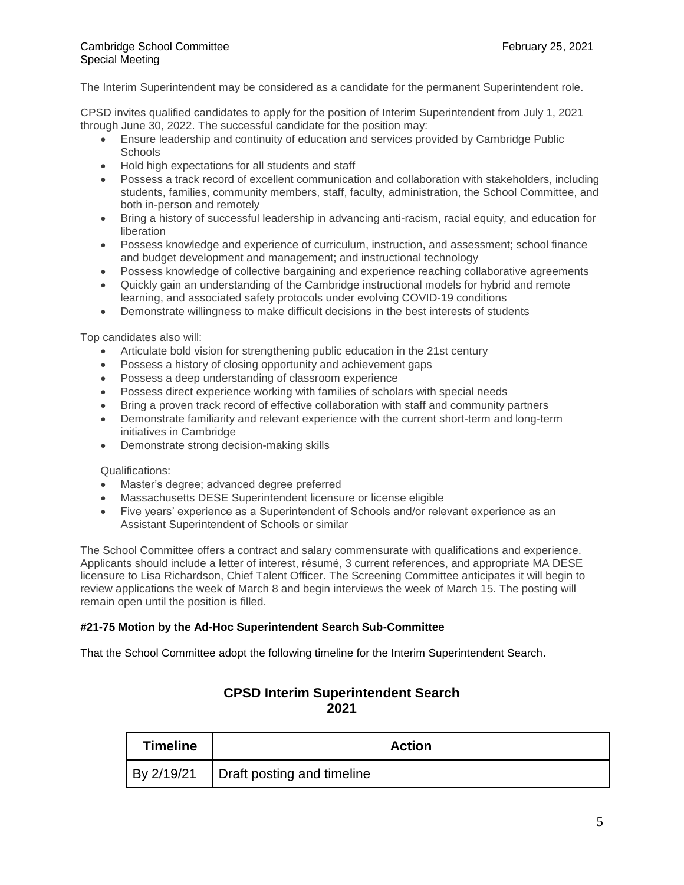#### The Interim Superintendent may be considered as a candidate for the permanent Superintendent role.

CPSD invites qualified candidates to apply for the position of Interim Superintendent from July 1, 2021 through June 30, 2022. The successful candidate for the position may:

- Ensure leadership and continuity of education and services provided by Cambridge Public **Schools**
- Hold high expectations for all students and staff
- Possess a track record of excellent communication and collaboration with stakeholders, including students, families, community members, staff, faculty, administration, the School Committee, and both in-person and remotely
- Bring a history of successful leadership in advancing anti-racism, racial equity, and education for liberation
- Possess knowledge and experience of curriculum, instruction, and assessment; school finance and budget development and management; and instructional technology
- Possess knowledge of collective bargaining and experience reaching collaborative agreements
- Quickly gain an understanding of the Cambridge instructional models for hybrid and remote learning, and associated safety protocols under evolving COVID-19 conditions
- Demonstrate willingness to make difficult decisions in the best interests of students

Top candidates also will:

- Articulate bold vision for strengthening public education in the 21st century
- Possess a history of closing opportunity and achievement gaps
- Possess a deep understanding of classroom experience
- Possess direct experience working with families of scholars with special needs
- Bring a proven track record of effective collaboration with staff and community partners
- Demonstrate familiarity and relevant experience with the current short-term and long-term initiatives in Cambridge
- Demonstrate strong decision-making skills

Qualifications:

- Master's degree; advanced degree preferred
- Massachusetts DESE Superintendent licensure or license eligible
- Five years' experience as a Superintendent of Schools and/or relevant experience as an Assistant Superintendent of Schools or similar

The School Committee offers a contract and salary commensurate with qualifications and experience. Applicants should include a letter of interest, résumé, 3 current references, and appropriate MA DESE licensure to Lisa Richardson, Chief Talent Officer. The Screening Committee anticipates it will begin to review applications the week of March 8 and begin interviews the week of March 15. The posting will remain open until the position is filled.

### **#21-75 Motion by the Ad-Hoc Superintendent Search Sub-Committee**

That the School Committee adopt the following timeline for the Interim Superintendent Search.

# **CPSD Interim Superintendent Search 2021**

| <b>Timeline</b> | <b>Action</b>                           |
|-----------------|-----------------------------------------|
|                 | By 2/19/21   Draft posting and timeline |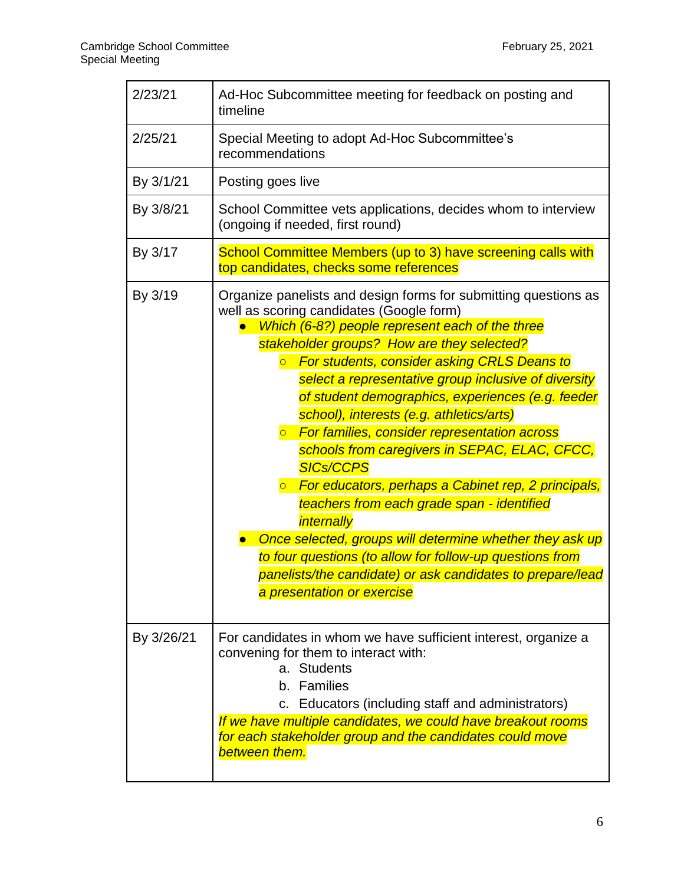| 2/23/21    | Ad-Hoc Subcommittee meeting for feedback on posting and<br>timeline                                                                                                                                                                                                                                                                                                                                                                                                                                                                                                                                                                                                                                                                                                                                                                                                                                                                  |
|------------|--------------------------------------------------------------------------------------------------------------------------------------------------------------------------------------------------------------------------------------------------------------------------------------------------------------------------------------------------------------------------------------------------------------------------------------------------------------------------------------------------------------------------------------------------------------------------------------------------------------------------------------------------------------------------------------------------------------------------------------------------------------------------------------------------------------------------------------------------------------------------------------------------------------------------------------|
| 2/25/21    | Special Meeting to adopt Ad-Hoc Subcommittee's<br>recommendations                                                                                                                                                                                                                                                                                                                                                                                                                                                                                                                                                                                                                                                                                                                                                                                                                                                                    |
| By 3/1/21  | Posting goes live                                                                                                                                                                                                                                                                                                                                                                                                                                                                                                                                                                                                                                                                                                                                                                                                                                                                                                                    |
| By 3/8/21  | School Committee vets applications, decides whom to interview<br>(ongoing if needed, first round)                                                                                                                                                                                                                                                                                                                                                                                                                                                                                                                                                                                                                                                                                                                                                                                                                                    |
| By 3/17    | School Committee Members (up to 3) have screening calls with<br>top candidates, checks some references                                                                                                                                                                                                                                                                                                                                                                                                                                                                                                                                                                                                                                                                                                                                                                                                                               |
| By 3/19    | Organize panelists and design forms for submitting questions as<br>well as scoring candidates (Google form)<br>Which (6-8?) people represent each of the three<br>stakeholder groups? How are they selected?<br><b>For students, consider asking CRLS Deans to</b><br>$\overline{O}$<br>select a representative group inclusive of diversity<br>of student demographics, experiences (e.g. feeder<br>school), interests (e.g. athletics/arts)<br><b>• For families, consider representation across</b><br>schools from caregivers in SEPAC, ELAC, CFCC,<br><b>SICs/CCPS</b><br>For educators, perhaps a Cabinet rep, 2 principals,<br>$\overline{O}$<br>teachers from each grade span - identified<br>internally<br>Once selected, groups will determine whether they ask up<br>to four questions (to allow for follow-up questions from<br>panelists/the candidate) or ask candidates to prepare/lead<br>a presentation or exercise |
| By 3/26/21 | For candidates in whom we have sufficient interest, organize a<br>convening for them to interact with:<br>a. Students<br>b. Families<br>c. Educators (including staff and administrators)<br>If we have multiple candidates, we could have breakout rooms<br>for each stakeholder group and the candidates could move<br>between them.                                                                                                                                                                                                                                                                                                                                                                                                                                                                                                                                                                                               |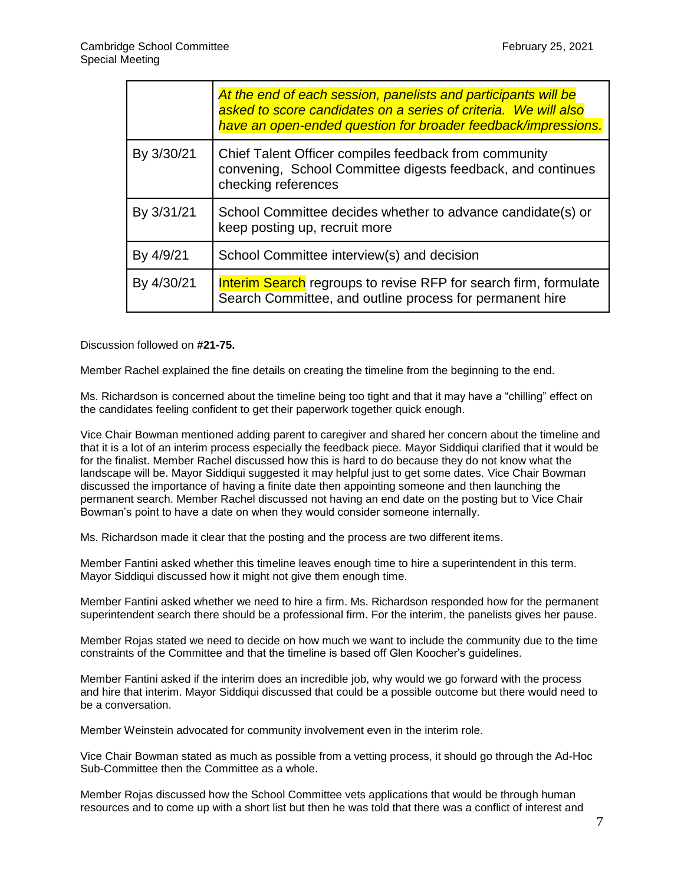|            | At the end of each session, panelists and participants will be<br>asked to score candidates on a series of criteria. We will also<br>have an open-ended question for broader feedback/impressions. |
|------------|----------------------------------------------------------------------------------------------------------------------------------------------------------------------------------------------------|
| By 3/30/21 | Chief Talent Officer compiles feedback from community<br>convening, School Committee digests feedback, and continues<br>checking references                                                        |
| By 3/31/21 | School Committee decides whether to advance candidate(s) or<br>keep posting up, recruit more                                                                                                       |
| By 4/9/21  | School Committee interview(s) and decision                                                                                                                                                         |
| By 4/30/21 | <b>Interim Search</b> regroups to revise RFP for search firm, formulate<br>Search Committee, and outline process for permanent hire                                                                |

Discussion followed on **#21-75.**

Member Rachel explained the fine details on creating the timeline from the beginning to the end.

Ms. Richardson is concerned about the timeline being too tight and that it may have a "chilling" effect on the candidates feeling confident to get their paperwork together quick enough.

Vice Chair Bowman mentioned adding parent to caregiver and shared her concern about the timeline and that it is a lot of an interim process especially the feedback piece. Mayor Siddiqui clarified that it would be for the finalist. Member Rachel discussed how this is hard to do because they do not know what the landscape will be. Mayor Siddiqui suggested it may helpful just to get some dates. Vice Chair Bowman discussed the importance of having a finite date then appointing someone and then launching the permanent search. Member Rachel discussed not having an end date on the posting but to Vice Chair Bowman's point to have a date on when they would consider someone internally.

Ms. Richardson made it clear that the posting and the process are two different items.

Member Fantini asked whether this timeline leaves enough time to hire a superintendent in this term. Mayor Siddiqui discussed how it might not give them enough time.

Member Fantini asked whether we need to hire a firm. Ms. Richardson responded how for the permanent superintendent search there should be a professional firm. For the interim, the panelists gives her pause.

Member Rojas stated we need to decide on how much we want to include the community due to the time constraints of the Committee and that the timeline is based off Glen Koocher's guidelines.

Member Fantini asked if the interim does an incredible job, why would we go forward with the process and hire that interim. Mayor Siddiqui discussed that could be a possible outcome but there would need to be a conversation.

Member Weinstein advocated for community involvement even in the interim role.

Vice Chair Bowman stated as much as possible from a vetting process, it should go through the Ad-Hoc Sub-Committee then the Committee as a whole.

Member Rojas discussed how the School Committee vets applications that would be through human resources and to come up with a short list but then he was told that there was a conflict of interest and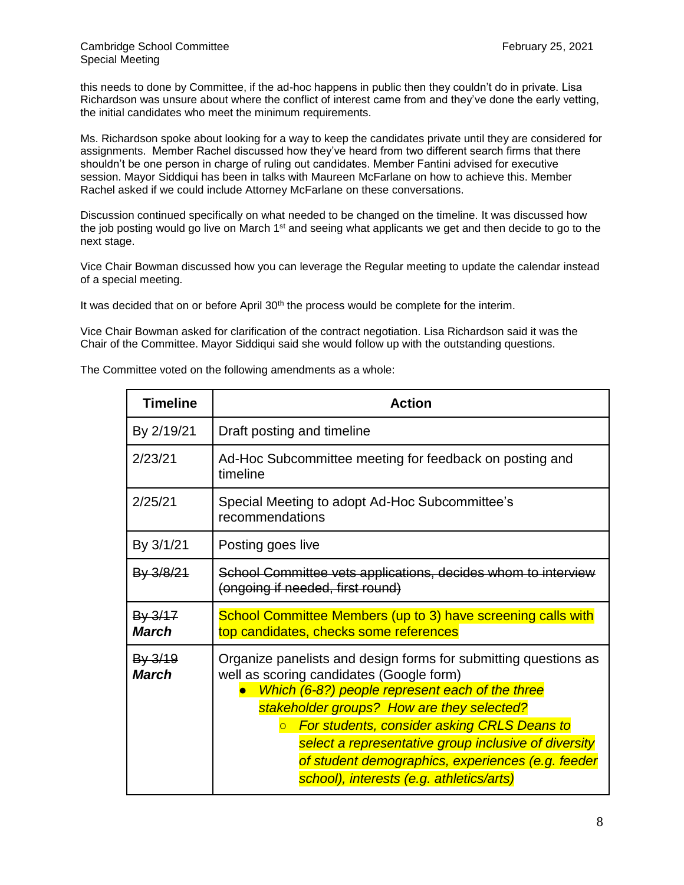this needs to done by Committee, if the ad-hoc happens in public then they couldn't do in private. Lisa Richardson was unsure about where the conflict of interest came from and they've done the early vetting, the initial candidates who meet the minimum requirements.

Ms. Richardson spoke about looking for a way to keep the candidates private until they are considered for assignments. Member Rachel discussed how they've heard from two different search firms that there shouldn't be one person in charge of ruling out candidates. Member Fantini advised for executive session. Mayor Siddiqui has been in talks with Maureen McFarlane on how to achieve this. Member Rachel asked if we could include Attorney McFarlane on these conversations.

Discussion continued specifically on what needed to be changed on the timeline. It was discussed how the job posting would go live on March 1<sup>st</sup> and seeing what applicants we get and then decide to go to the next stage.

Vice Chair Bowman discussed how you can leverage the Regular meeting to update the calendar instead of a special meeting.

It was decided that on or before April 30<sup>th</sup> the process would be complete for the interim.

Vice Chair Bowman asked for clarification of the contract negotiation. Lisa Richardson said it was the Chair of the Committee. Mayor Siddiqui said she would follow up with the outstanding questions.

The Committee voted on the following amendments as a whole:

| <b>Timeline</b>             | <b>Action</b>                                                                                                                                                                                                                                                                                                                                                                                                                          |
|-----------------------------|----------------------------------------------------------------------------------------------------------------------------------------------------------------------------------------------------------------------------------------------------------------------------------------------------------------------------------------------------------------------------------------------------------------------------------------|
| By 2/19/21                  | Draft posting and timeline                                                                                                                                                                                                                                                                                                                                                                                                             |
| 2/23/21                     | Ad-Hoc Subcommittee meeting for feedback on posting and<br>timeline                                                                                                                                                                                                                                                                                                                                                                    |
| 2/25/21                     | Special Meeting to adopt Ad-Hoc Subcommittee's<br>recommendations                                                                                                                                                                                                                                                                                                                                                                      |
| By 3/1/21                   | Posting goes live                                                                                                                                                                                                                                                                                                                                                                                                                      |
| By 3/8/21                   | School Committee vets applications, decides whom to interview<br>(ongoing if needed, first round)                                                                                                                                                                                                                                                                                                                                      |
| $By 3/17$<br><b>March</b>   | School Committee Members (up to 3) have screening calls with<br>top candidates, checks some references                                                                                                                                                                                                                                                                                                                                 |
| $By - 3/19$<br><b>March</b> | Organize panelists and design forms for submitting questions as<br>well as scoring candidates (Google form)<br>Which (6-8?) people represent each of the three<br>stakeholder groups? How are they selected?<br>For students, consider asking CRLS Deans to<br>$\overline{O}$<br>select a representative group inclusive of diversity<br>of student demographics, experiences (e.g. feeder<br>school), interests (e.g. athletics/arts) |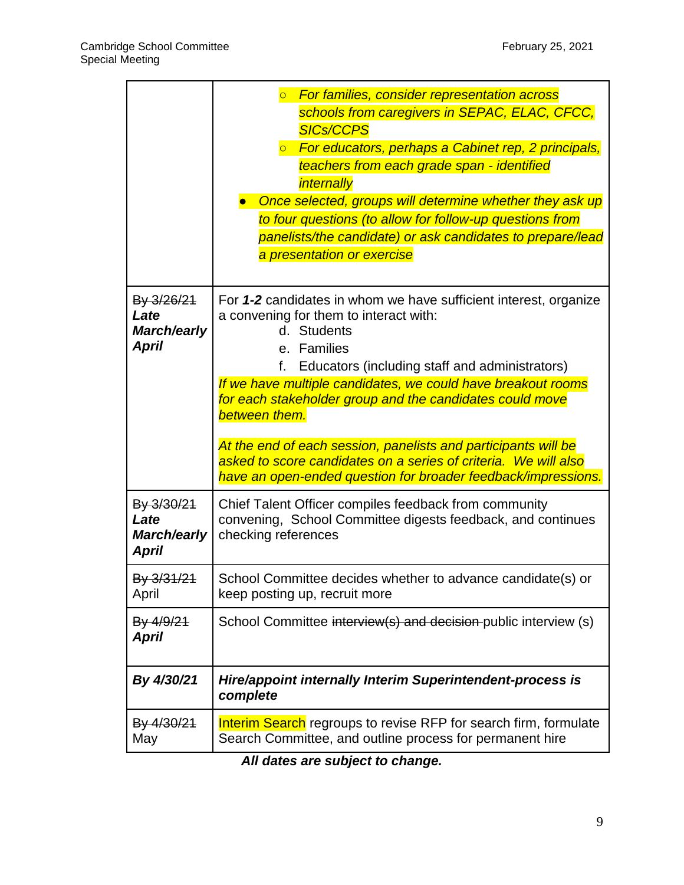|                                                          | <b>For families, consider representation across</b><br>$\overline{O}$<br>schools from caregivers in SEPAC, ELAC, CFCC,<br><b>SICs/CCPS</b><br><b>The For educators, perhaps a Cabinet rep, 2 principals,</b><br>teachers from each grade span - identified<br>internally<br>Once selected, groups will determine whether they ask up<br>to four questions (to allow for follow-up questions from<br>panelists/the candidate) or ask candidates to prepare/lead<br>a presentation or exercise                                                        |
|----------------------------------------------------------|-----------------------------------------------------------------------------------------------------------------------------------------------------------------------------------------------------------------------------------------------------------------------------------------------------------------------------------------------------------------------------------------------------------------------------------------------------------------------------------------------------------------------------------------------------|
| By 3/26/21<br>Late<br><b>March/early</b><br><b>April</b> | For 1-2 candidates in whom we have sufficient interest, organize<br>a convening for them to interact with:<br>d. Students<br>e. Families<br>f.<br>Educators (including staff and administrators)<br>If we have multiple candidates, we could have breakout rooms<br>for each stakeholder group and the candidates could move<br>between them.<br>At the end of each session, panelists and participants will be<br>asked to score candidates on a series of criteria. We will also<br>have an open-ended question for broader feedback/impressions. |
| By 3/30/21<br>Late<br><b>March/early</b><br><b>April</b> | Chief Talent Officer compiles feedback from community<br>convening, School Committee digests feedback, and continues<br>checking references                                                                                                                                                                                                                                                                                                                                                                                                         |
| By 3/31/21<br>April                                      | School Committee decides whether to advance candidate(s) or<br>keep posting up, recruit more                                                                                                                                                                                                                                                                                                                                                                                                                                                        |
| By 4/9/21<br>April                                       | School Committee interview(s) and decision public interview (s)                                                                                                                                                                                                                                                                                                                                                                                                                                                                                     |
| By 4/30/21                                               | Hire/appoint internally Interim Superintendent-process is<br>complete                                                                                                                                                                                                                                                                                                                                                                                                                                                                               |
| By 4/30/21<br>May                                        | <b>Interim Search</b> regroups to revise RFP for search firm, formulate<br>Search Committee, and outline process for permanent hire                                                                                                                                                                                                                                                                                                                                                                                                                 |

*All dates are subject to change.*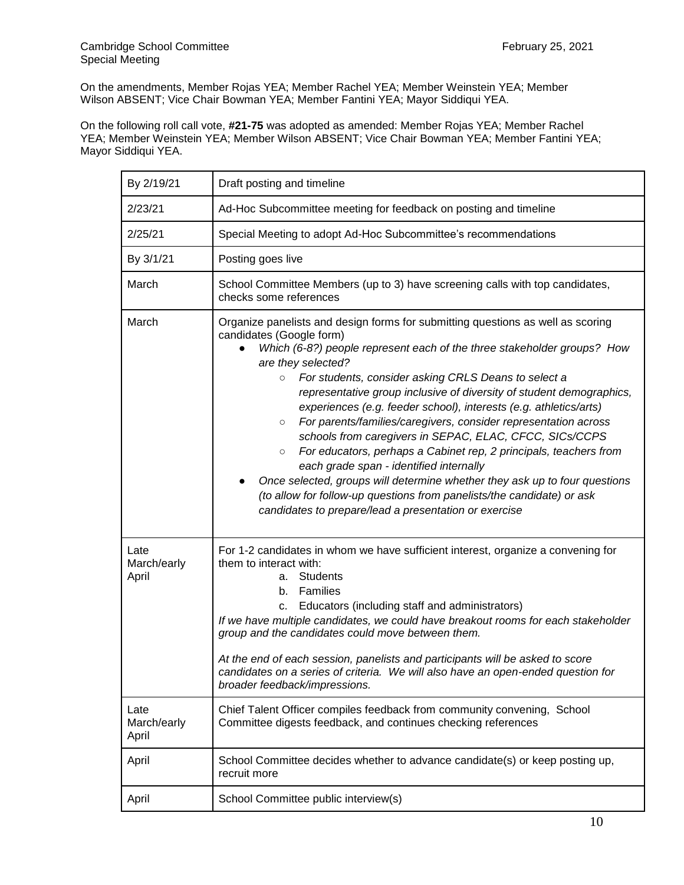On the amendments, Member Rojas YEA; Member Rachel YEA; Member Weinstein YEA; Member Wilson ABSENT; Vice Chair Bowman YEA; Member Fantini YEA; Mayor Siddiqui YEA.

On the following roll call vote, **#21-75** was adopted as amended: Member Rojas YEA; Member Rachel YEA; Member Weinstein YEA; Member Wilson ABSENT; Vice Chair Bowman YEA; Member Fantini YEA; Mayor Siddiqui YEA.

| By 2/19/21                   | Draft posting and timeline                                                                                                                                                                                                                                                                                                                                                                                                                                                                                                                                                                                                                                                                                                                                                                                                                                                                                        |
|------------------------------|-------------------------------------------------------------------------------------------------------------------------------------------------------------------------------------------------------------------------------------------------------------------------------------------------------------------------------------------------------------------------------------------------------------------------------------------------------------------------------------------------------------------------------------------------------------------------------------------------------------------------------------------------------------------------------------------------------------------------------------------------------------------------------------------------------------------------------------------------------------------------------------------------------------------|
| 2/23/21                      | Ad-Hoc Subcommittee meeting for feedback on posting and timeline                                                                                                                                                                                                                                                                                                                                                                                                                                                                                                                                                                                                                                                                                                                                                                                                                                                  |
| 2/25/21                      | Special Meeting to adopt Ad-Hoc Subcommittee's recommendations                                                                                                                                                                                                                                                                                                                                                                                                                                                                                                                                                                                                                                                                                                                                                                                                                                                    |
| By 3/1/21                    | Posting goes live                                                                                                                                                                                                                                                                                                                                                                                                                                                                                                                                                                                                                                                                                                                                                                                                                                                                                                 |
| March                        | School Committee Members (up to 3) have screening calls with top candidates,<br>checks some references                                                                                                                                                                                                                                                                                                                                                                                                                                                                                                                                                                                                                                                                                                                                                                                                            |
| March                        | Organize panelists and design forms for submitting questions as well as scoring<br>candidates (Google form)<br>Which (6-8?) people represent each of the three stakeholder groups? How<br>are they selected?<br>For students, consider asking CRLS Deans to select a<br>$\circ$<br>representative group inclusive of diversity of student demographics,<br>experiences (e.g. feeder school), interests (e.g. athletics/arts)<br>For parents/families/caregivers, consider representation across<br>$\circ$<br>schools from caregivers in SEPAC, ELAC, CFCC, SICs/CCPS<br>For educators, perhaps a Cabinet rep, 2 principals, teachers from<br>$\circ$<br>each grade span - identified internally<br>Once selected, groups will determine whether they ask up to four questions<br>(to allow for follow-up questions from panelists/the candidate) or ask<br>candidates to prepare/lead a presentation or exercise |
| Late<br>March/early<br>April | For 1-2 candidates in whom we have sufficient interest, organize a convening for<br>them to interact with:<br><b>Students</b><br>а.<br>Families<br>b.<br>Educators (including staff and administrators)<br>C.<br>If we have multiple candidates, we could have breakout rooms for each stakeholder<br>group and the candidates could move between them.<br>At the end of each session, panelists and participants will be asked to score<br>candidates on a series of criteria. We will also have an open-ended question for<br>broader feedback/impressions.                                                                                                                                                                                                                                                                                                                                                     |
| Late<br>March/early<br>April | Chief Talent Officer compiles feedback from community convening, School<br>Committee digests feedback, and continues checking references                                                                                                                                                                                                                                                                                                                                                                                                                                                                                                                                                                                                                                                                                                                                                                          |
| April                        | School Committee decides whether to advance candidate(s) or keep posting up,<br>recruit more                                                                                                                                                                                                                                                                                                                                                                                                                                                                                                                                                                                                                                                                                                                                                                                                                      |
| April                        | School Committee public interview(s)                                                                                                                                                                                                                                                                                                                                                                                                                                                                                                                                                                                                                                                                                                                                                                                                                                                                              |